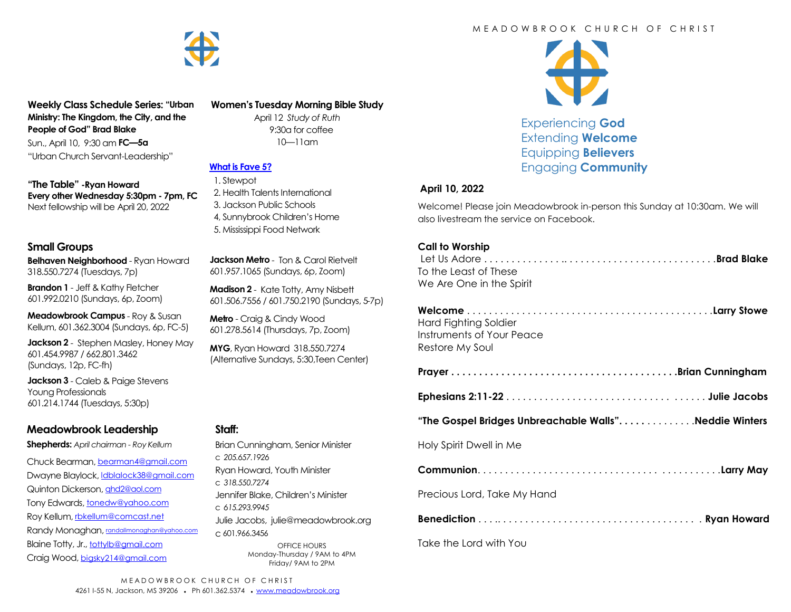

**Weekly Class Schedule Series: "Urban Ministry: The Kingdom, the City, and the People of God" Brad Blake** Sun., April 10, 9:30 am **FC—5a**

"Urban Church Servant-Leadership"

**"The Table" -Ryan Howard Every other Wednesday 5:30pm - 7pm, FC** Next fellowship will be April 20, 2022

### **Small Groups**

**Belhaven Neighborhood** - Ryan Howard 318.550.7274 (Tuesdays, 7p)

**Brandon 1** - Jeff & Kathy Fletcher 601.992.0210 (Sundays, 6p, Zoom)

**Meadowbrook Campus** - Roy & Susan Kellum, 601.362.3004 (Sundays, 6p, FC-5)

**Jackson 2** - Stephen Masley, Honey May 601.454.9987 / 662.801.3462 (Sundays, 12p, FC-fh)

**Jackson 3** - Caleb & Paige Stevens Young Professionals 601.214.1744 (Tuesdays, 5:30p)

# **Meadowbrook Leadership**

**Shepherds:** *April chairman - Roy Kellum*

Chuck Bearman, [bearman4@gmail.com](mailto:bearman4@gmail.com) Dwayne Blaylock, *dblalock38@gmail.com* Quinton Dickerson, [qhd2@aol.com](mailto:qhd2@aol.com) Tony Edwards, [tonedw@yahoo.com](mailto:tonedw@yahoo.com) Roy Kellum, [rbkellum@comcast.net](mailto:rbkellum@comcast.net) Randy Monaghan, [randallmonaghan@yahoo.com](mailto:randallmonaghan@yahoo.com) Blaine Totty, Jr., [tottylb@gmail.com](mailto:tottylb@gmail.com) Craig Wood, [bigsky214@gmail.com](mailto:bigsky214@gmail.com)

## **Women's Tuesday Morning Bible Study**

April 12 *Study of Ruth*  9:30a for coffee 10—11am

## **[What is Fave 5?](https://meadowbrook.ccbchurch.com/group_detail.php?group_id=131)**

 1. Stewpot 2. Health Talents International 3. Jackson Public Schools 4, Sunnybrook Children's Home 5. Mississippi Food Network

**Jackson Metro** - Ton & Carol Rietvelt 601.957.1065 (Sundays, 6p, Zoom)

**Madison 2** - Kate Totty, Amy Nisbett 601.506.7556 / 601.750.2190 (Sundays, 5-7p)

**Metro** - Craig & Cindy Wood 601.278.5614 (Thursdays, 7p, Zoom)

**MYG**, Ryan Howard 318.550.7274 (Alternative Sundays, 5:30,Teen Center)

### **Staff:**

Brian Cunningham, Senior Minister c *205.657.1926* Ryan Howard, Youth Minister c *318.550.7274* Jennifer Blake, Children's Minister c *615.293.9945* Julie Jacobs, julie@meadowbrook.org c 601.966.3456 OFFICE HOURS Monday-Thursday / 9AM to 4PM Friday/ 9AM to 2PM

### M F A D O W B R O O K C H U R C H O F C H R I S T



Experiencing **God** Extending **Welcome** Equipping **Believers** Engaging **Community**

#### **April 10, 2022**

Welcome! Please join Meadowbrook in-person this Sunday at 10:30am. We will also livestream the service on Facebook.

### **Call to Worship**

| To the Least of These    |  |
|--------------------------|--|
| We Are One in the Spirit |  |

| Hard Fighting Soldier<br>Instruments of Your Peace<br>Restore My Soul |
|-----------------------------------------------------------------------|
|                                                                       |
|                                                                       |
| "The Gospel Bridges Unbreachable Walls"Neddie Winters                 |
| Holy Spirit Dwell in Me                                               |
|                                                                       |
| Precious Lord, Take My Hand                                           |
|                                                                       |

Take the Lord with You